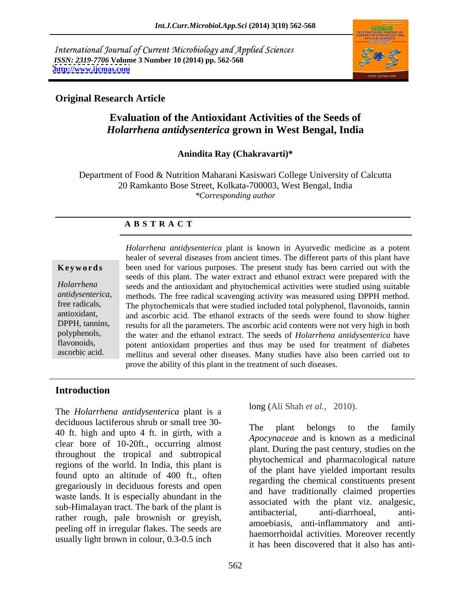International Journal of Current Microbiology and Applied Sciences *ISSN: 2319-7706* **Volume 3 Number 10 (2014) pp. 562-568 <http://www.ijcmas.com>**



### **Original Research Article**

# **Evaluation of the Antioxidant Activities of the Seeds of**  *Holarrhena antidysenterica* **grown in West Bengal, India**

### **Anindita Ray (Chakravarti)\***

Department of Food & Nutrition Maharani Kasiswari College University of Calcutta 20 Ramkanto Bose Street, Kolkata-700003, West Bengal, India *\*Corresponding author* 

### **A B S T R A C T**

**Keywords** been used for various purposes. The present study has been carried out with the *Holarrhena*  seeds and the antioxidant and phytochemical activities were studied using suitable *antidysenterica*, methods. The free radical scavenging activity was measured using DPPH method.<br>
free radicals, The phytochemicals that were studied included total polyphenol. flavonoids, tannin antioxidant, and ascorbic acid. The ethanol extracts of the seeds were found to show higher DPPH, tannins, results for all the parameters. The ascorbic acid contents were not very high in both polyphenols, the water and the ethanol extract. The seeds of *Holarrhena antidysenterica* have flavonoids, potent antioxidant properties and thus may be used for treatment of diabetes ascorbic acid. mellitus and several other diseases. Many studies have also been carried out to *Holarrhena antidysenterica* plant is known in Ayurvedic medicine as a potent healer of several diseases from ancient times. The different parts of this plant have seeds of this plant. The water extract and ethanol extract were prepared with the The phytochemicals that were studied included total polyphenol, flavonoids, tannin prove the ability of this plant in the treatment of such diseases.

### **Introduction**

The *Holarrhena antidysenterica* plant is a deciduous lactiferous shrub or small tree 30-<br>The plant belongs to the family 40 ft. high and upto 4 ft. in girth, with a clear bore of 10-20ft., occurring almost throughout the tropical and subtropical regions of the world. In India, this plant is found upto an altitude of 400 ft., often gregariously in deciduous forests and open waste lands. It is especially abundant in the sub-Himalayan tract. The bark of the plant is associated with the plant viz. analysis,<br>anti-diarrhoeal, antirather rough, pale brownish or greyish, peeling off in irregular flakes. The seeds are usually light brown in colour, 0.3-0.5 inch

long (Ali Shah *et al.,* 2010).

The plant belongs to the family *Apocynaceae* and is known as a medicinal plant. During the past century, studies on the phytochemical and pharmacological nature of the plant have yielded important results regarding the chemical constituents present and have traditionally claimed properties associated with the plant viz. analgesic, antibacterial, anti-diarrhoeal, anti amoebiasis, anti-inflammatory and anti haemorrhoidal activities. Moreover recently it has been discovered that it also has anti-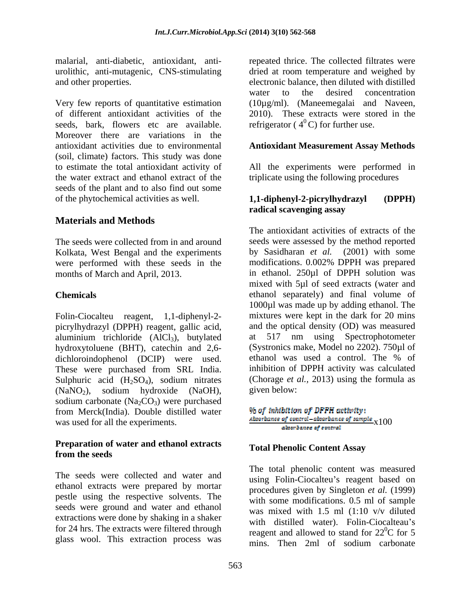Very few reports of quantitative estimation (10µg/ml). (Maneemegalai and Naveen, of different antioxidant activities of the 2010). These extracts were stored in the seeds, bark, flowers etc are available. Moreover there are variations in the antioxidant activities due to environmental **Antioxidant Measurement Assay Methods** (soil, climate) factors. This study was done to estimate the total antioxidant activity of All the experiments were performed in the water extract and ethanol extract of the triplicate using the following procedures seeds of the plant and to also find out some of the phytochemical activities as well. **1.1-diphenyl-2-picrylhydrazyl** (DPPH)

# **Materials and Methods**

The seeds were collected from in and around Kolkata, West Bengal and the experiments were performed with these seeds in the months of March and April, 2013.

picrylhydrazyl (DPPH) reagent, gallic acid, aluminium trichloride  $(AICI<sub>3</sub>)$ , butylated at hydroxytoluene (BHT), catechin and 2,6-<br>dichloroindophenol (DCIP) were used than was used a control. The % of dichloroindophenol (DCIP) were used. These were purchased from SRL India. Sulphuric acid  $(H_2SO_4)$ , sodium nitrates (Chorage *et a* (NaNO<sub>2</sub>), sodium hydroxide (NaOH), given below:  $(NaNO<sub>2</sub>)$ , sodium hydroxide  $(NaOH)$ , given below: sodium carbonate  $(Na_2CO_3)$  were purchased<br>from Merck(India). Double distilled water  $\%$  of inhibition of DPPH activity: from Merck(India). Double distilled water THE ITOIN INCREDITION INCREDITION WALLET THE TOIN INCREDIT ON THE USE WAS USED TO THE TOIN THE EXPERIMENT OF SAMPLE TO THE TOING THE TOING THE TOING THE TOING THE TOING THE TOING THE TOING THE TOING THE TOING THE TOING THE

### **Preparation of water and ethanol extracts from the seeds from the seeds**

The seeds were collected and water and ethanol extracts were prepared by mortar pestle using the respective solvents. The seeds were ground and water and ethanol extractions were done by shaking in a shaker for 24 hrs. The extracts were filtered through

malarial, anti-diabetic, antioxidant, anti- repeated thrice. The collected filtrates were urolithic, anti-mutagenic, CNS-stimulating dried at room temperature and weighed by and other properties. electronic balance, then diluted with distilled water to the desired concentration refrigerator ( $4^{\circ}$ C) for further use.

### 1,1-diphenyl-2-picrylhydrazyl **radical scavenging assay**

months of March and April, 2013. in ethanol. 250µl of DPPH solution was **Chemicals** ethanol separately) and final volume of Folin-Ciocalteu reagent, 1,1-diphenyl-2- mixtures were kept in the dark for 20 mins The antioxidant activities of extracts of the seeds were assessed by the method reported by Sasidharan *et al.* (2001) with some modifications. 0.002% DPPH was prepared mixed with 5µl of seed extracts (water and 1000µl was made up by adding ethanol. The and the optical density (OD) was measured 517 nm using Spectrophotometer (Systronics make, Model no 2202). 750µl of ethanol was used a control. The % of inhibition of DPPH activity was calculated (Chorage *et al.,* 2013) using the formula as given below:

x100

# **Total Phenolic Content Assay**

glass wool. This extraction process was  $\frac{\text{regent and moved to stand for } 22 \text{ c for } 5}{\text{mins}}$ . Then  $2 \text{ml}$  of sodium carbonate The total phenolic content was measured using Folin-Ciocalteu's reagent based on procedures given by Singleton *et al.* (1999) with some modifications. 0.5 ml of sample was mixed with 1.5 ml (1:10 v/v diluted with distilled water). Folin-Ciocalteau's reagent and allowed to stand for  $22^0C$  for 5  ${}^{0}C$  for 5 mins. Then 2ml of sodium carbonate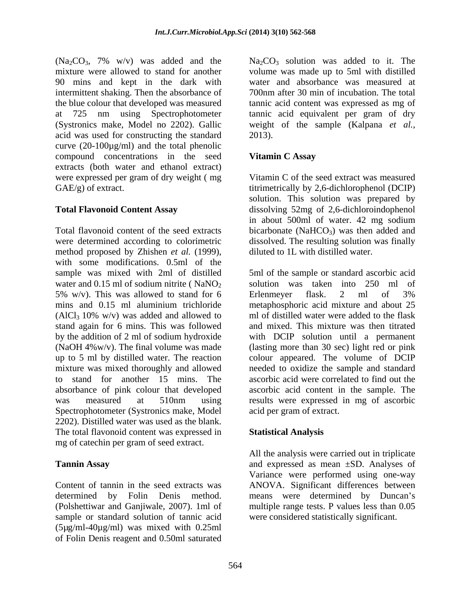$(Na_2CO_3, 7\% \text{ w/v})$  was added and the mixture were allowed to stand for another volume was made up to 5ml with distilled 90 mins and kept in the dark with intermittent shaking. Then the absorbance of 700nm after 30 min of incubation. The total the blue colour that developed was measured tannic acid content was expressed as mg of at 725 nm using Spectrophotometer tannic acid equivalent per gram of dry (Systronics make, Model no 2202). Gallic weight of the sample (Kalpana *et al.,* acid was used for constructing the standard 2013). curve  $(20-100\mu g/ml)$  and the total phenolic compound concentrations in the seed Vitamin C Assay extracts (both water and ethanol extract) were expressed per gram of dry weight ( mg

Total flavonoid content of the seed extracts bicarbonate (NaHCO<sub>3</sub>) was then added and were determined according to colorimetric dissolved. The resulting solution was finally method proposed by Zhishen *et al.* (1999), diluted to 1L with distilled water.<br>with some modifications. 0.5ml of the stand again for 6 mins. This was followed absorbance of pink colour that developed Spectrophotometer (Systronics make, Model 2202). Distilled water was used as the blank. The total flavonoid content was expressed in Statistical Analysis mg of catechin per gram of seed extract.

sample or standard solution of tannic acid (5µg/ml-40µg/ml) was mixed with 0.25ml of Folin Denis reagent and 0.50ml saturated  $Na<sub>2</sub>CO<sub>3</sub>$  solution was added to it. The water and absorbance was measured at 2013).

### **Vitamin C Assay**

GAE/g) of extract.  $\qquad \qquad \text{titrimetrically by 2,6-dichlorophenol (DCIP)}$ **Total Flavonoid Content Assay** dissolving 52mg of 2,6-dichloroindophenol Vitamin C of the seed extract was measured solution. This solution was prepared by in about 500ml of water. 42 mg sodium diluted to 1L with distilled water.

sample was mixed with 2ml of distilled 5ml of the sample or standard ascorbic acid water and 0.15 ml of sodium nitrite ( $NaNO<sub>2</sub>$  solution was taken into 250 ml of 5% w/v). This was allowed to stand for 6 Erlenmeyer flask. 2 ml of 3% mins and 0.15 ml aluminium trichloride metaphosphoric acid mixture and about 25  $(AlCl<sub>3</sub> 10\% w/v)$  was added and allowed to ml of distilled water were added to the flask by the addition of 2 ml of sodium hydroxide with DCIP solution until a permanent (NaOH 4%w/v). The final volume was made (lasting more than 30 sec) light red or pink up to 5 ml by distilled water. The reaction colour appeared. The volume of DCIP mixture was mixed thoroughly and allowed needed to oxidize the sampleand standard to stand for another 15 mins. The ascorbic acid were correlated to find out the was measured at 510nm using results were expressed in mg of ascorbic Erlenmeyer flask. 2 ml of 3% ml of distilled water were added to the flask and mixed. This mixture was then titrated ascorbic acid content in the sample. The acid per gram of extract.

# **Statistical Analysis**

**Tannin Assay** and expressed as mean ±SD. Analyses of Content of tannin in the seed extracts was ANOVA. Significant differences between determined by Folin Denis method. means were determined by Duncan's (Polshettiwar and Ganjiwale, 2007). 1ml of multiple range tests. P values less than 0.05 All the analysis were carried out in triplicate Variance were performed using one-way were considered statistically significant.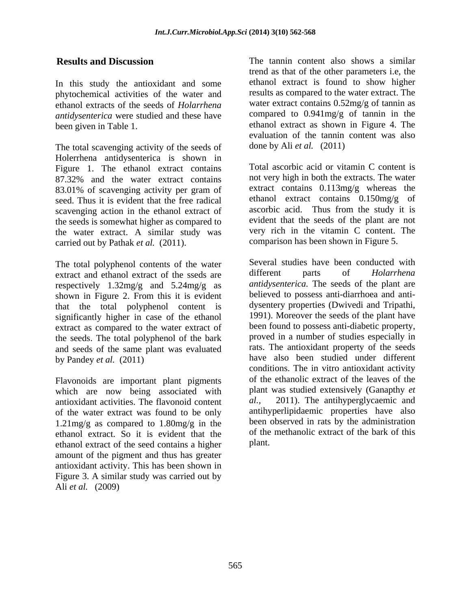In this study the antioxidant and some phytochemical activities of the water and ethanol extracts of the seeds of *Holarrhena antidysenterica* were studied and these have

The total scavenging activity of the seeds of Holerrhena antidysenterica is shown in Figure 1. The ethanol extract contains 87.32% and the water extract contains on the very high in both the extracts. The water 83.01% of scavenging activity per gram of seed. Thus it is evident that the free radical scavenging action in the ethanol extract of the seeds is somewhat higher as compared to the water extract. A similar study was carried out by Pathak *et al.* (2011).

The total polyphenol contents of the water<br>extract and ethanol extract of the seeds are different parts of *Holarrhena* extract and ethanol extract of the sseds are respectively 1.32mg/g and 5.24mg/g as shown in Figure 2. From this it is evident believed to possess anti-diarrhoea and anti-<br>that the total polyphenol content is dysentery properties (Dwivedi and Tripathi, that the total polyphenol content is dysentery properties (Dwivedi and Tripathi, significantly higher in case of the ethanol 1991). Moreover the seeds of the plant have significantly higher in case of the ethanol extract as compared to the water extract of the seeds. The total polyphenol of the bark and seeds of the same plant was evaluated

Flavonoids are important plant pigments which are now being associated with  $\frac{1}{2}$  planet particular activities. The flavonoid content al. antioxidant activities. The flavonoid content of the water extract was found to be only 1.21mg/g as compared to 1.80mg/g in the ethanol extract. So it is evident that the ethanol extract of the seed contains a higher amount of the pigment and thus has greater antioxidant activity. This has been shown in Figure 3. A similar study was carried out by Ali *et al.* (2009)

**Results and Discussion** The tannin content also shows a similar been given in Table 1. ethanol extract as shown in Figure 4. The trend as that of the other parameters i.e, the ethanol extract is found to show higher results as compared to the water extract. The water extract contains  $0.52mg/g$  of tannin as compared to 0.941mg/g of tannin in the evaluation of the tannin content was also done by Ali *et al.* (2011)

> Total ascorbic acid or vitamin C content is not very high in both the extracts. The water extract contains 0.113mg/g whereas the ethanol extract contains 0.150mg/g of ascorbic acid. Thus from the study it is evident that the seeds of the plant are not very rich in the vitamin C content. The comparison has been shown in Figure 5.

by Pandey *et al.* (2011) have also been studied under different Several studies have been conducted with different parts of *Holarrhena antidysenterica.* The seeds of the plant are believed to possess anti-diarrhoea and anti dysentery properties (Dwivedi and Tripathi, 1991). Moreover the seeds of the plant have been found to possess anti-diabetic property, proved in a number of studies especially in rats. The antioxidant property of the seeds conditions. The in vitro antioxidant activity of the ethanolic extract of the leaves of the plant was studied extensively (Ganapthy *et*  2011). The antihyperglycaemic and antihyperlipidaemic properties have also been observed in rats by the administration of the methanolic extract of the bark of this plant.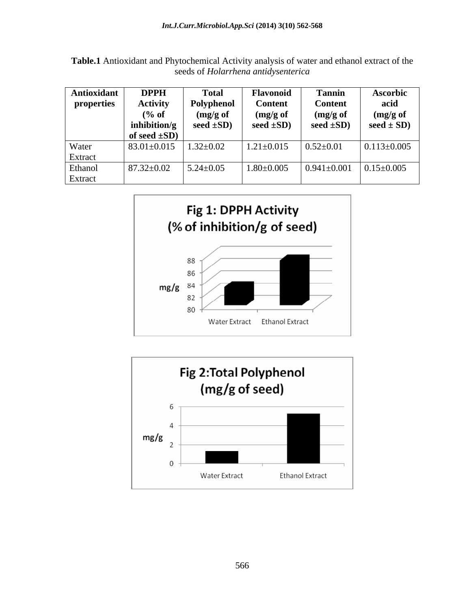**Table.1** Antioxidant and Phytochemical Activity analysis of water and ethanol extract of the seeds of *Holarrhena antidysenterica*

| Antioxidant | DPPH              | <b>Total</b>        | Flavonoid        | Tannin              | Ascorbic          |
|-------------|-------------------|---------------------|------------------|---------------------|-------------------|
| properties  | <b>Activity</b>   | Polyphenol          | <b>Content</b>   | <b>Content</b>      | acid              |
|             | % of              | $(mg/g \text{ of})$ | (mg/g of         | $(mg/g \text{ of }$ | (mg/g of          |
|             | inhibition/g      | seed $\pm SD$ )     | seed $\pm SD$ )  | seed $\pm SD$ )     | $seed \pm SD$     |
|             | of seed $\pm SD$  |                     |                  |                     |                   |
| Water       | $83.01 \pm 0.015$ | $.32 \pm 0.02$      | $1.21 \pm 0.015$ | $0.52 \pm 0.01$     | $0.113 \pm 0.005$ |
| Extract     |                   |                     |                  |                     |                   |
| Ethanol     | $87.32 \pm 0.02$  | $5.24 \pm 0.05$     | $1.80 \pm 0.005$ | $0.941 \pm 0.001$   | $0.15 \pm 0.005$  |
| Extract     |                   |                     |                  |                     |                   |





566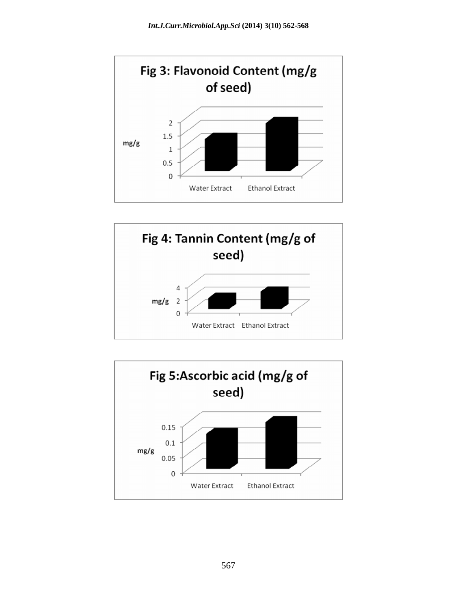